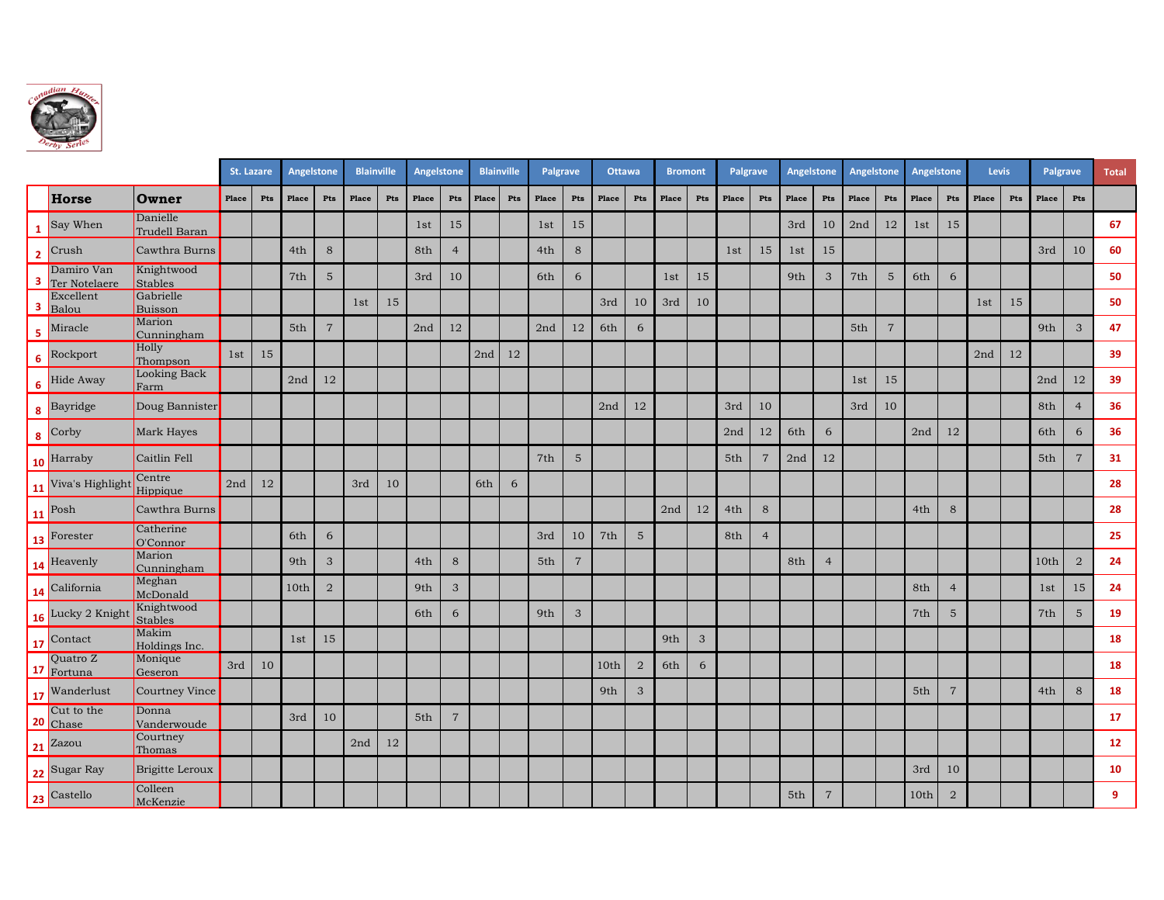

|                |                             |                           | St. Lazare |        | Angelstone |                           | <b>Blainville</b> |     | Angelstone |                | <b>Blainville</b> |        | Palgrave |                           | <b>Ottawa</b> |                | <b>Bromont</b> |              | <b>Palgrave</b> |                | Angelstone |                | Angelstone |                |       | Angelstone     |       | Levis  |       | <b>Palgrave</b> | <b>Total</b>   |
|----------------|-----------------------------|---------------------------|------------|--------|------------|---------------------------|-------------------|-----|------------|----------------|-------------------|--------|----------|---------------------------|---------------|----------------|----------------|--------------|-----------------|----------------|------------|----------------|------------|----------------|-------|----------------|-------|--------|-------|-----------------|----------------|
|                | Horse                       | Owner                     | Place      | Pts    | Place      | Pts                       | Place             | Pts | Place      | Pts            | Place             | Pts    | Place    | Pts                       | Place         | Pts            | Place          | Pts          | Place           | Pts            | Place      | Pts            | Place      | Pts            | Place | Pts            | Place | Pts    | Place | Pts             |                |
| $\mathbf{1}$   | Say When                    | Danielle<br>Trudell Baran |            |        |            |                           |                   |     | 1st        | 15             |                   |        | 1st      | 15                        |               |                |                |              |                 |                | 3rd        | 10             | 2nd        | 12             | 1st   | 15             |       |        |       |                 | 67             |
| $\overline{2}$ | Crush                       | Cawthra Burns             |            |        | 4th        | $\,8\,$                   |                   |     | 8th        | $\overline{4}$ |                   |        | 4th      | $\,8\,$                   |               |                |                |              | 1st             | 15             | 1st        | 15             |            |                |       |                |       |        | 3rd   | 10              | 60             |
| 3              | Damiro Van<br>Ter Notelaere | Knightwood<br>Stables     |            |        | 7th        | $5\phantom{.}$            |                   |     | 3rd        | 10             |                   |        | 6th      | 6                         |               |                | 1st            | 15           |                 |                | 9th        | $\mathbf{3}$   | 7th        | $\sqrt{5}$     | 6th   | 6              |       |        |       |                 | 50             |
| 3              | Excellent<br>Balou          | Gabrielle<br>Buisson      |            |        |            |                           | 1st               | 15  |            |                |                   |        |          |                           | 3rd           | 10             | 3rd            | 10           |                 |                |            |                |            |                |       |                | 1st   | $15\,$ |       |                 | 50             |
| 5              | Miracle                     | Marion<br>Cunningham      |            |        | 5th        | $\overline{7}$            |                   |     | 2nd        | $12\,$         |                   |        | 2nd      | 12                        | 6th           | 6              |                |              |                 |                |            |                | 5th        | $\overline{7}$ |       |                |       |        | 9th   | 3               | 47             |
| 6              | Rockport                    | Holly<br>Thompson         | 1st        | 15     |            |                           |                   |     |            |                | 2nd               | $12\,$ |          |                           |               |                |                |              |                 |                |            |                |            |                |       |                | 2nd   | 12     |       |                 | 39             |
|                | <b>6</b> Hide Away          | Looking Back<br>Farm      |            |        | 2nd        | 12                        |                   |     |            |                |                   |        |          |                           |               |                |                |              |                 |                |            |                | 1st        | 15             |       |                |       |        | 2nd   | 12              | 39             |
| 8              | Bayridge                    | Doug Bannister            |            |        |            |                           |                   |     |            |                |                   |        |          |                           | 2nd           | 12             |                |              | 3rd             | 10             |            |                | 3rd        | 10             |       |                |       |        | 8th   | $\overline{4}$  | 36             |
|                | $\frac{1}{8}$ Corby         | Mark Hayes                |            |        |            |                           |                   |     |            |                |                   |        |          |                           |               |                |                |              | 2nd             | 12             | 6th        | 6              |            |                | 2nd   | 12             |       |        | 6th   | 6               | 36             |
|                | 10 Harraby                  | Caitlin Fell              |            |        |            |                           |                   |     |            |                |                   |        | 7th      | $\mathbf 5$               |               |                |                |              | 5th             | 7              | 2nd        | $12\,$         |            |                |       |                |       |        | 5th   | $\overline{7}$  | 31             |
|                | 11 Viva's Highlight         | Centre<br>Hippique        | 2nd        | $12\,$ |            |                           | 3rd               | 10  |            |                | 6th               | 6      |          |                           |               |                |                |              |                 |                |            |                |            |                |       |                |       |        |       |                 | 28             |
|                | <b>11</b> Posh              | Cawthra Burns             |            |        |            |                           |                   |     |            |                |                   |        |          |                           |               |                | 2nd            | 12           | 4th             | 8              |            |                |            |                | 4th   | 8              |       |        |       |                 | 28             |
|                | 13 Forester                 | Catherine<br>O'Connor     |            |        | 6th        | 6                         |                   |     |            |                |                   |        | 3rd      | 10                        | 7th           | $\overline{5}$ |                |              | 8th             | $\overline{4}$ |            |                |            |                |       |                |       |        |       |                 | 25             |
|                | 14 Heavenly                 | Marion<br>Cunningham      |            |        | 9th        | $\ensuremath{\mathsf{3}}$ |                   |     | 4th        | $\,8\,$        |                   |        | 5th      | $\boldsymbol{7}$          |               |                |                |              |                 |                | 8th        | $\overline{4}$ |            |                |       |                |       |        | 10th  | $\sqrt{2}$      | 24             |
| 14             | California                  | Meghan<br>McDonald        |            |        | 10th       | $\sqrt{2}$                |                   |     | 9th        | $\mathfrak{S}$ |                   |        |          |                           |               |                |                |              |                 |                |            |                |            |                | 8th   | $\overline{4}$ |       |        | 1st   | 15              | 24             |
|                | 16 Lucky 2 Knight           | Knightwood<br>Stables     |            |        |            |                           |                   |     | 6th        | 6              |                   |        | 9th      | $\ensuremath{\mathsf{3}}$ |               |                |                |              |                 |                |            |                |            |                | 7th   | $\overline{5}$ |       |        | 7th   | $\mathbf 5$     | 19             |
|                | 17 Contact                  | Makim<br>Holdings Inc.    |            |        | 1st        | 15                        |                   |     |            |                |                   |        |          |                           |               |                | 9th            | $\mathbf{3}$ |                 |                |            |                |            |                |       |                |       |        |       |                 | 18             |
|                | Quatro Z<br>17 Fortuna      | Monique<br>Geseron        | 3rd        | 10     |            |                           |                   |     |            |                |                   |        |          |                           | 10th          | $\overline{2}$ | 6th            | 6            |                 |                |            |                |            |                |       |                |       |        |       |                 | 18             |
| <b>17</b>      | Wanderlust                  | Courtney Vince            |            |        |            |                           |                   |     |            |                |                   |        |          |                           | 9th           | $\sqrt{3}$     |                |              |                 |                |            |                |            |                | 5th   | $\overline{7}$ |       |        | 4th   | 8               | 18             |
|                | Cut to the<br>20 Chase      | Donna<br>Vanderwoude      |            |        | 3rd        | 10                        |                   |     | 5th        | $\overline{7}$ |                   |        |          |                           |               |                |                |              |                 |                |            |                |            |                |       |                |       |        |       |                 | 17             |
| 21             | Zazou                       | Courtney<br>Thomas        |            |        |            |                           | 2nd               | 12  |            |                |                   |        |          |                           |               |                |                |              |                 |                |            |                |            |                |       |                |       |        |       |                 | 12             |
|                | 22 Sugar Ray                | Brigitte Leroux           |            |        |            |                           |                   |     |            |                |                   |        |          |                           |               |                |                |              |                 |                |            |                |            |                | 3rd   | 10             |       |        |       |                 | ${\bf 10}$     |
|                | 23 Castello                 | Colleen<br>McKenzie       |            |        |            |                           |                   |     |            |                |                   |        |          |                           |               |                |                |              |                 |                | 5th        | $\overline{7}$ |            |                | 10th  | $\overline{2}$ |       |        |       |                 | $\overline{9}$ |